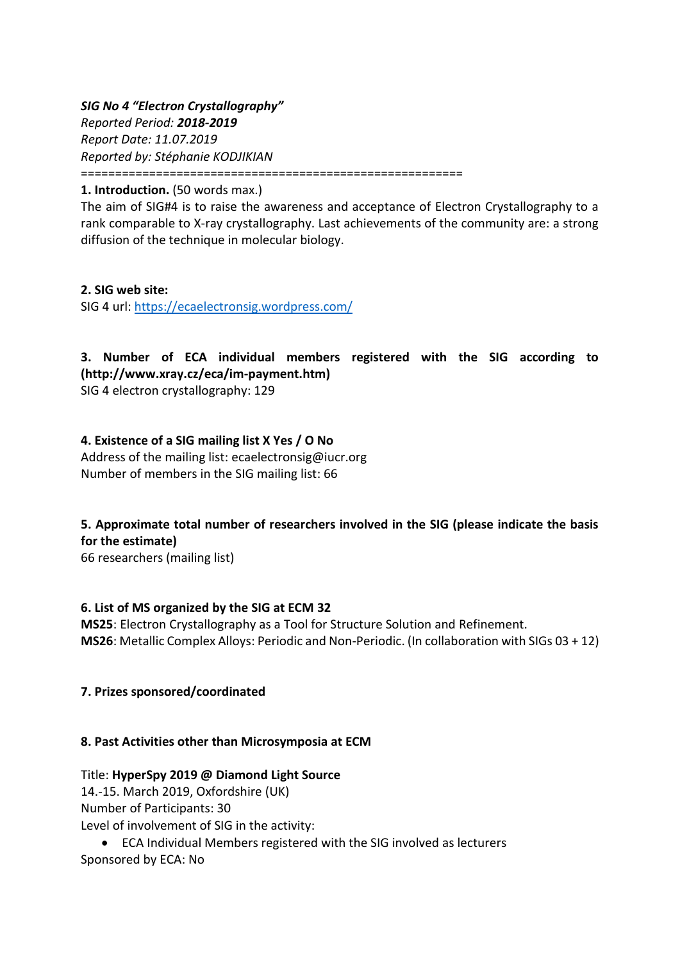*SIG No 4 "Electron Crystallography" Reported Period: 2018-2019 Report Date: 11.07.2019 Reported by: Stéphanie KODJIKIAN* ========================================================

**1. Introduction.** (50 words max.)

The aim of SIG#4 is to raise the awareness and acceptance of Electron Crystallography to a rank comparable to X-ray crystallography. Last achievements of the community are: a strong diffusion of the technique in molecular biology.

**2. SIG web site:**  SIG 4 url:<https://ecaelectronsig.wordpress.com/>

**3. Number of ECA individual members registered with the SIG according to (http://www.xray.cz/eca/im-payment.htm)** 

SIG 4 electron crystallography: 129

## **4. Existence of a SIG mailing list X Yes / O No**

Address of the mailing list: ecaelectronsig@iucr.org Number of members in the SIG mailing list: 66

# **5. Approximate total number of researchers involved in the SIG (please indicate the basis for the estimate)**

66 researchers (mailing list)

#### **6. List of MS organized by the SIG at ECM 32**

**MS25**: Electron Crystallography as a Tool for Structure Solution and Refinement. **MS26**: Metallic Complex Alloys: Periodic and Non-Periodic. (In collaboration with SIGs 03 + 12)

#### **7. Prizes sponsored/coordinated**

#### **8. Past Activities other than Microsymposia at ECM**

#### Title: **HyperSpy 2019 @ Diamond Light Source**

14.-15. March 2019, Oxfordshire (UK)

Number of Participants: 30

Level of involvement of SIG in the activity:

 ECA Individual Members registered with the SIG involved as lecturers Sponsored by ECA: No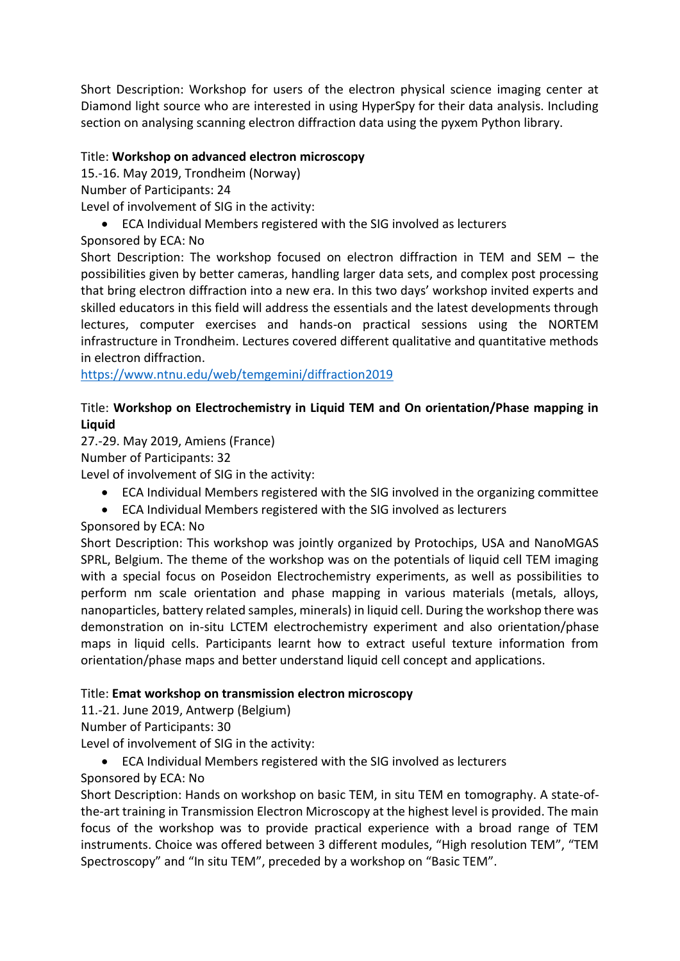Short Description: Workshop for users of the electron physical science imaging center at Diamond light source who are interested in using HyperSpy for their data analysis. Including section on analysing scanning electron diffraction data using the pyxem Python library.

### Title: **Workshop on advanced electron microscopy**

15.-16. May 2019, Trondheim (Norway)

Number of Participants: 24

Level of involvement of SIG in the activity:

ECA Individual Members registered with the SIG involved as lecturers

Sponsored by ECA: No

Short Description: The workshop focused on electron diffraction in TEM and SEM – the possibilities given by better cameras, handling larger data sets, and complex post processing that bring electron diffraction into a new era. In this two days' workshop invited experts and skilled educators in this field will address the essentials and the latest developments through lectures, computer exercises and hands-on practical sessions using the NORTEM infrastructure in Trondheim. Lectures covered different qualitative and quantitative methods in electron diffraction.

<https://www.ntnu.edu/web/temgemini/diffraction2019>

# Title: **Workshop on Electrochemistry in Liquid TEM and On orientation/Phase mapping in Liquid**

27.-29. May 2019, Amiens (France)

Number of Participants: 32

Level of involvement of SIG in the activity:

- ECA Individual Members registered with the SIG involved in the organizing committee
- ECA Individual Members registered with the SIG involved as lecturers
- Sponsored by ECA: No

Short Description: This workshop was jointly organized by Protochips, USA and NanoMGAS SPRL, Belgium. The theme of the workshop was on the potentials of liquid cell TEM imaging with a special focus on Poseidon Electrochemistry experiments, as well as possibilities to perform nm scale orientation and phase mapping in various materials (metals, alloys, nanoparticles, battery related samples, minerals) in liquid cell. During the workshop there was demonstration on in-situ LCTEM electrochemistry experiment and also orientation/phase maps in liquid cells. Participants learnt how to extract useful texture information from orientation/phase maps and better understand liquid cell concept and applications.

## Title: **Emat workshop on transmission electron microscopy**

11.-21. June 2019, Antwerp (Belgium)

Number of Participants: 30

Level of involvement of SIG in the activity:

ECA Individual Members registered with the SIG involved as lecturers

Sponsored by ECA: No

Short Description: Hands on workshop on basic TEM, in situ TEM en tomography. A state-ofthe-art training in Transmission Electron Microscopy at the highest level is provided. The main focus of the workshop was to provide practical experience with a broad range of TEM instruments. Choice was offered between 3 different modules, "High resolution TEM", "TEM Spectroscopy" and "In situ TEM", preceded by a workshop on "Basic TEM".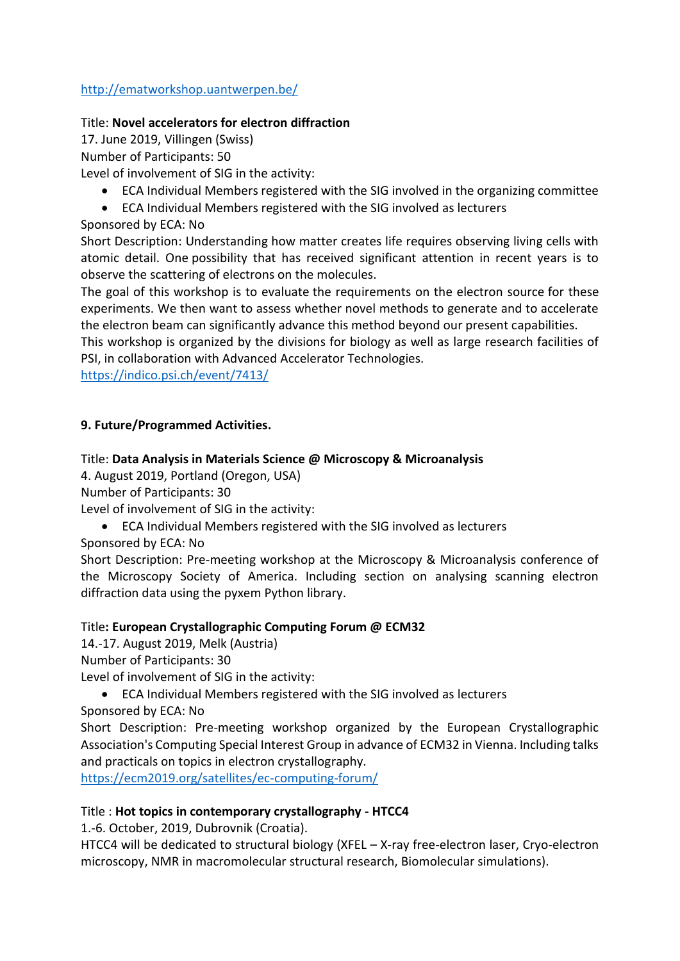### <http://ematworkshop.uantwerpen.be/>

#### Title: **Novel accelerators for electron diffraction**

17. June 2019, Villingen (Swiss) Number of Participants: 50

Level of involvement of SIG in the activity:

- ECA Individual Members registered with the SIG involved in the organizing committee
- ECA Individual Members registered with the SIG involved as lecturers

### Sponsored by ECA: No

Short Description: Understanding how matter creates life requires observing living cells with atomic detail. One possibility that has received significant attention in recent years is to observe the scattering of electrons on the molecules.

The goal of this workshop is to evaluate the requirements on the electron source for these experiments. We then want to assess whether novel methods to generate and to accelerate the electron beam can significantly advance this method beyond our present capabilities.

This workshop is organized by the divisions for biology as well as large research facilities of PSI, in collaboration with Advanced Accelerator Technologies.

<https://indico.psi.ch/event/7413/>

### **9. Future/Programmed Activities.**

#### Title: **Data Analysis in Materials Science @ Microscopy & Microanalysis**

4. August 2019, Portland (Oregon, USA)

Number of Participants: 30

Level of involvement of SIG in the activity:

ECA Individual Members registered with the SIG involved as lecturers

Sponsored by ECA: No

Short Description: Pre-meeting workshop at the Microscopy & Microanalysis conference of the Microscopy Society of America. Including section on analysing scanning electron diffraction data using the pyxem Python library.

#### Title**: European Crystallographic Computing Forum @ ECM32**

14.-17. August 2019, Melk (Austria)

Number of Participants: 30

Level of involvement of SIG in the activity:

ECA Individual Members registered with the SIG involved as lecturers

Sponsored by ECA: No

Short Description: Pre-meeting workshop organized by the European Crystallographic Association's Computing Special Interest Group in advance of ECM32 in Vienna. Including talks and practicals on topics in electron crystallography.

<https://ecm2019.org/satellites/ec-computing-forum/>

#### Title : **Hot topics in contemporary crystallography - HTCC4**

1.-6. October, 2019, Dubrovnik (Croatia).

HTCC4 will be dedicated to structural biology (XFEL – X-ray free-electron laser, Cryo-electron microscopy, NMR in macromolecular structural research, Biomolecular simulations).